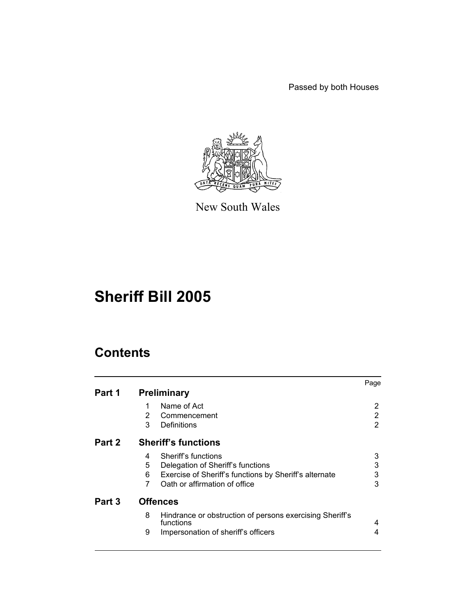Passed by both Houses



New South Wales

# **Sheriff Bill 2005**

# **Contents**

|        |                                                                            | Page |  |  |  |
|--------|----------------------------------------------------------------------------|------|--|--|--|
| Part 1 | <b>Preliminary</b>                                                         |      |  |  |  |
|        | Name of Act<br>1                                                           | 2    |  |  |  |
|        | 2<br>Commencement                                                          | 2    |  |  |  |
|        | 3<br>Definitions                                                           | 2    |  |  |  |
| Part 2 | <b>Sheriff's functions</b>                                                 |      |  |  |  |
|        | Sheriff's functions<br>4                                                   | 3    |  |  |  |
|        | 5<br>Delegation of Sheriff's functions                                     | 3    |  |  |  |
|        | Exercise of Sheriff's functions by Sheriff's alternate<br>6                | 3    |  |  |  |
|        | Oath or affirmation of office<br>7                                         | 3    |  |  |  |
| Part 3 | <b>Offences</b>                                                            |      |  |  |  |
|        | 8<br>Hindrance or obstruction of persons exercising Sheriff's<br>functions | 4    |  |  |  |
|        | 9<br>Impersonation of sheriff's officers                                   | 4    |  |  |  |
|        |                                                                            |      |  |  |  |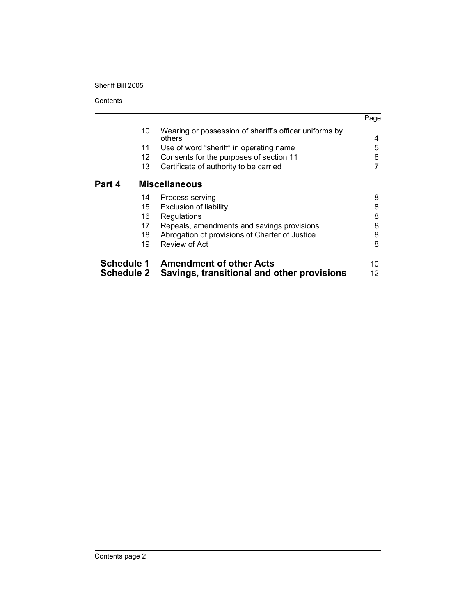**Contents** 

|                   |                      |                                                                  | Page |  |  |
|-------------------|----------------------|------------------------------------------------------------------|------|--|--|
|                   | 10                   | Wearing or possession of sheriff's officer uniforms by<br>others | 4    |  |  |
|                   | 11                   | Use of word "sheriff" in operating name                          | 5    |  |  |
|                   | 12                   | Consents for the purposes of section 11                          | 6    |  |  |
|                   | 13                   | Certificate of authority to be carried                           |      |  |  |
| Part 4            | <b>Miscellaneous</b> |                                                                  |      |  |  |
|                   | 14                   | Process serving                                                  | 8    |  |  |
|                   | 15                   | <b>Exclusion of liability</b>                                    | 8    |  |  |
|                   | 16                   | Regulations                                                      | 8    |  |  |
|                   | 17                   | Repeals, amendments and savings provisions                       | 8    |  |  |
|                   | 18                   | Abrogation of provisions of Charter of Justice                   | 8    |  |  |
|                   | 19                   | Review of Act                                                    | 8    |  |  |
|                   |                      | Schedule 1 Amendment of other Acts                               | 10   |  |  |
| <b>Schedule 2</b> |                      | Savings, transitional and other provisions                       | 12   |  |  |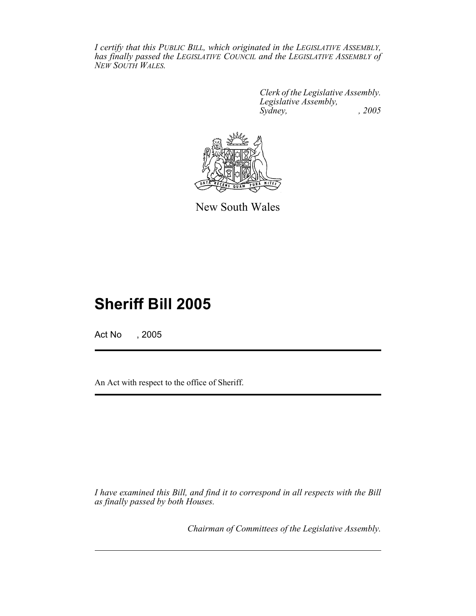*I certify that this PUBLIC BILL, which originated in the LEGISLATIVE ASSEMBLY, has finally passed the LEGISLATIVE COUNCIL and the LEGISLATIVE ASSEMBLY of NEW SOUTH WALES.*

> *Clerk of the Legislative Assembly. Legislative Assembly, Sydney, , 2005*



New South Wales

# **Sheriff Bill 2005**

Act No , 2005

An Act with respect to the office of Sheriff.

*I have examined this Bill, and find it to correspond in all respects with the Bill as finally passed by both Houses.*

*Chairman of Committees of the Legislative Assembly.*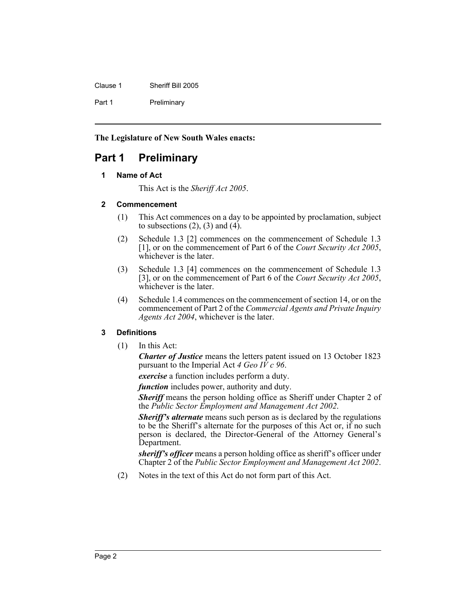| Clause 1 | Sheriff Bill 2005 |
|----------|-------------------|
| Part 1   | Preliminary       |

**The Legislature of New South Wales enacts:**

# **Part 1 Preliminary**

### **1 Name of Act**

This Act is the *Sheriff Act 2005*.

### **2 Commencement**

- (1) This Act commences on a day to be appointed by proclamation, subject to subsections  $(2)$ ,  $(3)$  and  $(4)$ .
- (2) Schedule 1.3 [2] commences on the commencement of Schedule 1.3 [1], or on the commencement of Part 6 of the *Court Security Act 2005*, whichever is the later.
- (3) Schedule 1.3 [4] commences on the commencement of Schedule 1.3 [3], or on the commencement of Part 6 of the *Court Security Act 2005*, whichever is the later.
- (4) Schedule 1.4 commences on the commencement of section 14, or on the commencement of Part 2 of the *Commercial Agents and Private Inquiry Agents Act 2004*, whichever is the later.

### **3 Definitions**

(1) In this Act:

*Charter of Justice* means the letters patent issued on 13 October 1823 pursuant to the Imperial Act *4 Geo IV c 96*.

*exercise* a function includes perform a duty.

*function* includes power, authority and duty.

**Sheriff** means the person holding office as Sheriff under Chapter 2 of the *Public Sector Employment and Management Act 2002*.

*Sheriff's alternate* means such person as is declared by the regulations to be the Sheriff's alternate for the purposes of this Act or, if no such person is declared, the Director-General of the Attorney General's Department.

*sheriff's officer* means a person holding office as sheriff's officer under Chapter 2 of the *Public Sector Employment and Management Act 2002*.

(2) Notes in the text of this Act do not form part of this Act.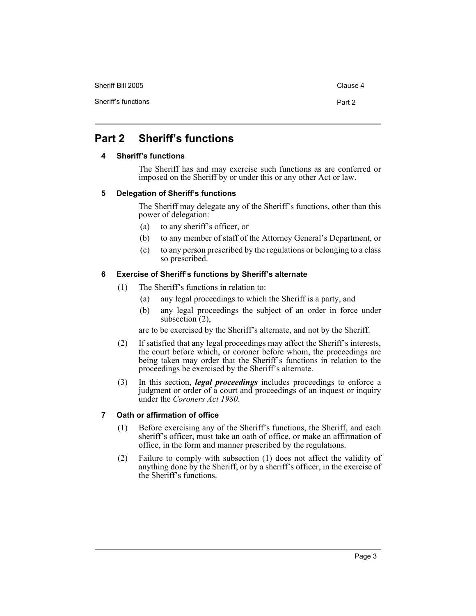Sheriff Bill 2005 Clause 4

# **Part 2 Sheriff's functions**

### **4 Sheriff's functions**

The Sheriff has and may exercise such functions as are conferred or imposed on the Sheriff by or under this or any other Act or law.

### **5 Delegation of Sheriff's functions**

The Sheriff may delegate any of the Sheriff's functions, other than this power of delegation:

- (a) to any sheriff's officer, or
- (b) to any member of staff of the Attorney General's Department, or
- (c) to any person prescribed by the regulations or belonging to a class so prescribed.

### **6 Exercise of Sheriff's functions by Sheriff's alternate**

- (1) The Sheriff's functions in relation to:
	- (a) any legal proceedings to which the Sheriff is a party, and
	- (b) any legal proceedings the subject of an order in force under subsection  $(2)$ ,

are to be exercised by the Sheriff's alternate, and not by the Sheriff.

- (2) If satisfied that any legal proceedings may affect the Sheriff's interests, the court before which, or coroner before whom, the proceedings are being taken may order that the Sheriff's functions in relation to the proceedings be exercised by the Sheriff's alternate.
- (3) In this section, *legal proceedings* includes proceedings to enforce a judgment or order of a court and proceedings of an inquest or inquiry under the *Coroners Act 1980*.

### **7 Oath or affirmation of office**

- (1) Before exercising any of the Sheriff's functions, the Sheriff, and each sheriff's officer, must take an oath of office, or make an affirmation of office, in the form and manner prescribed by the regulations.
- (2) Failure to comply with subsection (1) does not affect the validity of anything done by the Sheriff, or by a sheriff's officer, in the exercise of the Sheriff's functions.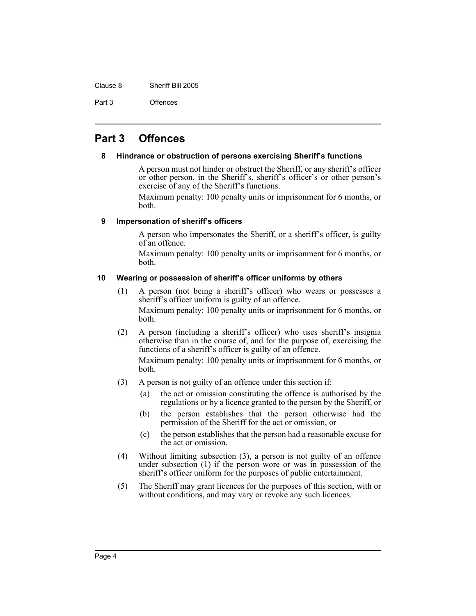Clause 8 Sheriff Bill 2005

Part 3 Offences

# **Part 3 Offences**

### **8 Hindrance or obstruction of persons exercising Sheriff's functions**

A person must not hinder or obstruct the Sheriff, or any sheriff's officer or other person, in the Sheriff's, sheriff's officer's or other person's exercise of any of the Sheriff's functions.

Maximum penalty: 100 penalty units or imprisonment for 6 months, or both.

### **9 Impersonation of sheriff's officers**

A person who impersonates the Sheriff, or a sheriff's officer, is guilty of an offence.

Maximum penalty: 100 penalty units or imprisonment for 6 months, or both.

### **10 Wearing or possession of sheriff's officer uniforms by others**

- (1) A person (not being a sheriff's officer) who wears or possesses a sheriff's officer uniform is guilty of an offence. Maximum penalty: 100 penalty units or imprisonment for 6 months, or both.
- (2) A person (including a sheriff's officer) who uses sheriff's insignia otherwise than in the course of, and for the purpose of, exercising the functions of a sheriff's officer is guilty of an offence.

Maximum penalty: 100 penalty units or imprisonment for 6 months, or both.

- (3) A person is not guilty of an offence under this section if:
	- (a) the act or omission constituting the offence is authorised by the regulations or by a licence granted to the person by the Sheriff, or
	- (b) the person establishes that the person otherwise had the permission of the Sheriff for the act or omission, or
	- (c) the person establishes that the person had a reasonable excuse for the act or omission.
- (4) Without limiting subsection (3), a person is not guilty of an offence under subsection (1) if the person wore or was in possession of the sheriff's officer uniform for the purposes of public entertainment.
- (5) The Sheriff may grant licences for the purposes of this section, with or without conditions, and may vary or revoke any such licences.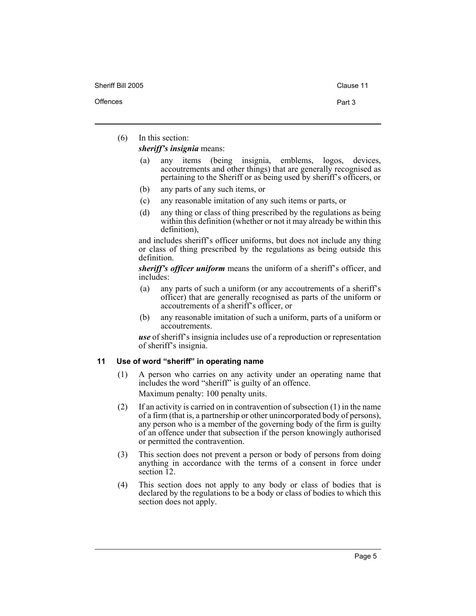(6) In this section:

*sheriff's insignia* means:

- (a) any items (being insignia, emblems, logos, devices, accoutrements and other things) that are generally recognised as pertaining to the Sheriff or as being used by sheriff's officers, or
- (b) any parts of any such items, or
- (c) any reasonable imitation of any such items or parts, or
- (d) any thing or class of thing prescribed by the regulations as being within this definition (whether or not it may already be within this definition),

and includes sheriff's officer uniforms, but does not include any thing or class of thing prescribed by the regulations as being outside this definition.

*sheriff's officer uniform* means the uniform of a sheriff's officer, and includes:

- (a) any parts of such a uniform (or any accoutrements of a sheriff's officer) that are generally recognised as parts of the uniform or accoutrements of a sheriff's officer, or
- (b) any reasonable imitation of such a uniform, parts of a uniform or accoutrements.

*use* of sheriff's insignia includes use of a reproduction or representation of sheriff's insignia.

### **11 Use of word "sheriff" in operating name**

- (1) A person who carries on any activity under an operating name that includes the word "sheriff" is guilty of an offence. Maximum penalty: 100 penalty units.
- (2) If an activity is carried on in contravention of subsection (1) in the name of a firm (that is, a partnership or other unincorporated body of persons), any person who is a member of the governing body of the firm is guilty of an offence under that subsection if the person knowingly authorised or permitted the contravention.
- (3) This section does not prevent a person or body of persons from doing anything in accordance with the terms of a consent in force under section 12.
- (4) This section does not apply to any body or class of bodies that is declared by the regulations to be a body or class of bodies to which this section does not apply.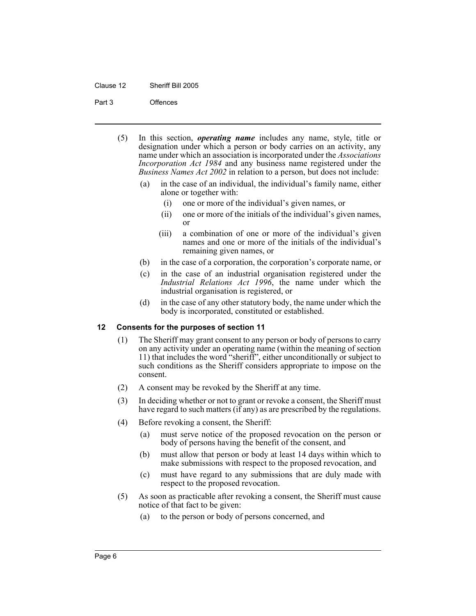#### Clause 12 Sheriff Bill 2005

#### Part 3 Offences

- (5) In this section, *operating name* includes any name, style, title or designation under which a person or body carries on an activity, any name under which an association is incorporated under the *Associations Incorporation Act 1984* and any business name registered under the *Business Names Act 2002* in relation to a person, but does not include:
	- (a) in the case of an individual, the individual's family name, either alone or together with:
		- (i) one or more of the individual's given names, or
		- (ii) one or more of the initials of the individual's given names, or
		- (iii) a combination of one or more of the individual's given names and one or more of the initials of the individual's remaining given names, or
	- (b) in the case of a corporation, the corporation's corporate name, or
	- (c) in the case of an industrial organisation registered under the *Industrial Relations Act 1996*, the name under which the industrial organisation is registered, or
	- (d) in the case of any other statutory body, the name under which the body is incorporated, constituted or established.

### **12 Consents for the purposes of section 11**

- (1) The Sheriff may grant consent to any person or body of persons to carry on any activity under an operating name (within the meaning of section 11) that includes the word "sheriff", either unconditionally or subject to such conditions as the Sheriff considers appropriate to impose on the consent.
- (2) A consent may be revoked by the Sheriff at any time.
- (3) In deciding whether or not to grant or revoke a consent, the Sheriff must have regard to such matters (if any) as are prescribed by the regulations.
- (4) Before revoking a consent, the Sheriff:
	- (a) must serve notice of the proposed revocation on the person or body of persons having the benefit of the consent, and
	- (b) must allow that person or body at least 14 days within which to make submissions with respect to the proposed revocation, and
	- (c) must have regard to any submissions that are duly made with respect to the proposed revocation.
- (5) As soon as practicable after revoking a consent, the Sheriff must cause notice of that fact to be given:
	- (a) to the person or body of persons concerned, and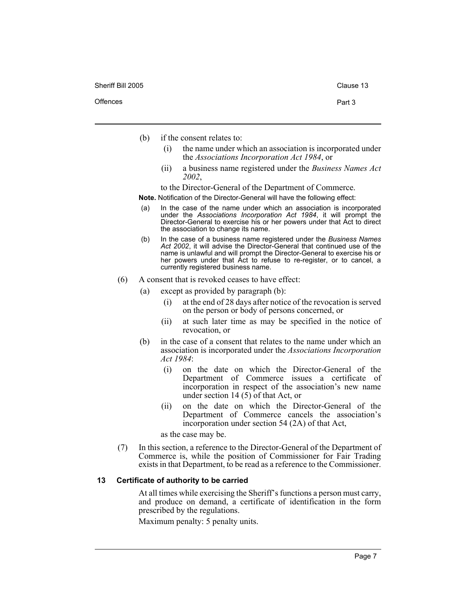- (b) if the consent relates to:
	- (i) the name under which an association is incorporated under the *Associations Incorporation Act 1984*, or
	- (ii) a business name registered under the *Business Names Act 2002*,

to the Director-General of the Department of Commerce.

**Note.** Notification of the Director-General will have the following effect:

- (a) In the case of the name under which an association is incorporated under the *Associations Incorporation Act 1984*, it will prompt the Director-General to exercise his or her powers under that Act to direct the association to change its name.
- (b) In the case of a business name registered under the *Business Names Act 2002*, it will advise the Director-General that continued use of the name is unlawful and will prompt the Director-General to exercise his or her powers under that Act to refuse to re-register, or to cancel, a currently registered business name.
- (6) A consent that is revoked ceases to have effect:
	- (a) except as provided by paragraph (b):
		- (i) at the end of 28 days after notice of the revocation is served on the person or body of persons concerned, or
		- (ii) at such later time as may be specified in the notice of revocation, or
	- (b) in the case of a consent that relates to the name under which an association is incorporated under the *Associations Incorporation Act 1984*:
		- (i) on the date on which the Director-General of the Department of Commerce issues a certificate of incorporation in respect of the association's new name under section 14 $(5)$  of that Act, or
		- (ii) on the date on which the Director-General of the Department of Commerce cancels the association's incorporation under section 54 (2A) of that Act,

as the case may be.

(7) In this section, a reference to the Director-General of the Department of Commerce is, while the position of Commissioner for Fair Trading exists in that Department, to be read as a reference to the Commissioner.

#### **13 Certificate of authority to be carried**

At all times while exercising the Sheriff's functions a person must carry, and produce on demand, a certificate of identification in the form prescribed by the regulations.

Maximum penalty: 5 penalty units.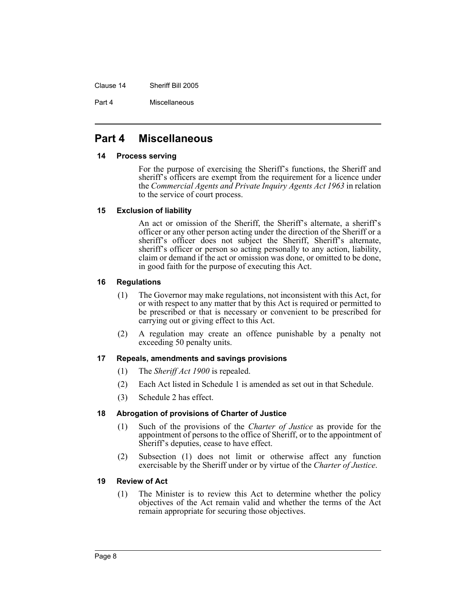Clause 14 Sheriff Bill 2005

Part 4 Miscellaneous

# **Part 4 Miscellaneous**

### **14 Process serving**

For the purpose of exercising the Sheriff's functions, the Sheriff and sheriff's officers are exempt from the requirement for a licence under the *Commercial Agents and Private Inquiry Agents Act 1963* in relation to the service of court process.

### **15 Exclusion of liability**

An act or omission of the Sheriff, the Sheriff's alternate, a sheriff's officer or any other person acting under the direction of the Sheriff or a sheriff's officer does not subject the Sheriff, Sheriff's alternate, sheriff's officer or person so acting personally to any action, liability, claim or demand if the act or omission was done, or omitted to be done, in good faith for the purpose of executing this Act.

### **16 Regulations**

- (1) The Governor may make regulations, not inconsistent with this Act, for or with respect to any matter that by this Act is required or permitted to be prescribed or that is necessary or convenient to be prescribed for carrying out or giving effect to this Act.
- (2) A regulation may create an offence punishable by a penalty not exceeding 50 penalty units.

### **17 Repeals, amendments and savings provisions**

- (1) The *Sheriff Act 1900* is repealed.
- (2) Each Act listed in Schedule 1 is amended as set out in that Schedule.
- (3) Schedule 2 has effect.

### **18 Abrogation of provisions of Charter of Justice**

- (1) Such of the provisions of the *Charter of Justice* as provide for the appointment of persons to the office of Sheriff, or to the appointment of Sheriff's deputies, cease to have effect.
- (2) Subsection (1) does not limit or otherwise affect any function exercisable by the Sheriff under or by virtue of the *Charter of Justice*.

### **19 Review of Act**

(1) The Minister is to review this Act to determine whether the policy objectives of the Act remain valid and whether the terms of the Act remain appropriate for securing those objectives.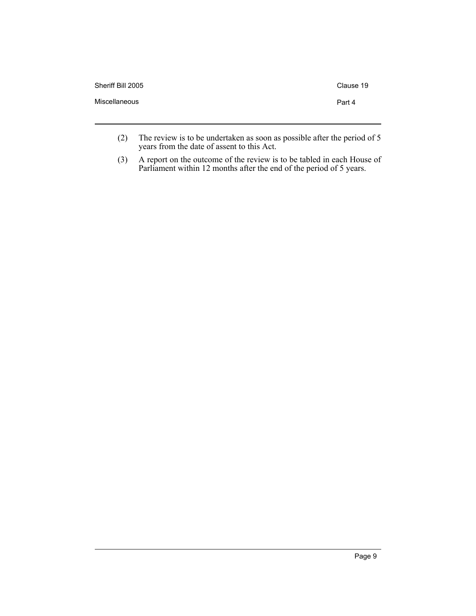| Sheriff Bill 2005 | Clause 19 |
|-------------------|-----------|
| Miscellaneous     | Part 4    |
|                   |           |

- (2) The review is to be undertaken as soon as possible after the period of 5 years from the date of assent to this Act.
- (3) A report on the outcome of the review is to be tabled in each House of Parliament within 12 months after the end of the period of 5 years.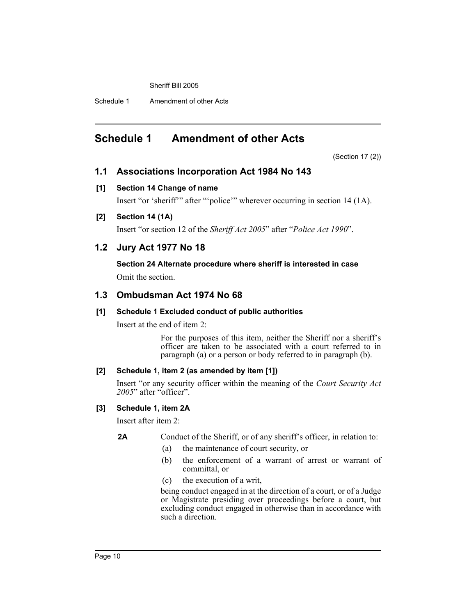Schedule 1 Amendment of other Acts

# **Schedule 1 Amendment of other Acts**

(Section 17 (2))

### **1.1 Associations Incorporation Act 1984 No 143**

### **[1] Section 14 Change of name**

Insert "or 'sheriff'" after "'police'" wherever occurring in section 14 (1A).

### **[2] Section 14 (1A)**

Insert "or section 12 of the *Sheriff Act 2005*" after "*Police Act 1990*".

## **1.2 Jury Act 1977 No 18**

**Section 24 Alternate procedure where sheriff is interested in case** Omit the section.

### **1.3 Ombudsman Act 1974 No 68**

### **[1] Schedule 1 Excluded conduct of public authorities**

Insert at the end of item 2:

For the purposes of this item, neither the Sheriff nor a sheriff's officer are taken to be associated with a court referred to in paragraph (a) or a person or body referred to in paragraph (b).

### **[2] Schedule 1, item 2 (as amended by item [1])**

Insert "or any security officer within the meaning of the *Court Security Act 2005*" after "officer".

### **[3] Schedule 1, item 2A**

Insert after item 2:

### **2A** Conduct of the Sheriff, or of any sheriff's officer, in relation to:

- (a) the maintenance of court security, or
- (b) the enforcement of a warrant of arrest or warrant of committal, or
- (c) the execution of a writ,

being conduct engaged in at the direction of a court, or of a Judge or Magistrate presiding over proceedings before a court, but excluding conduct engaged in otherwise than in accordance with such a direction.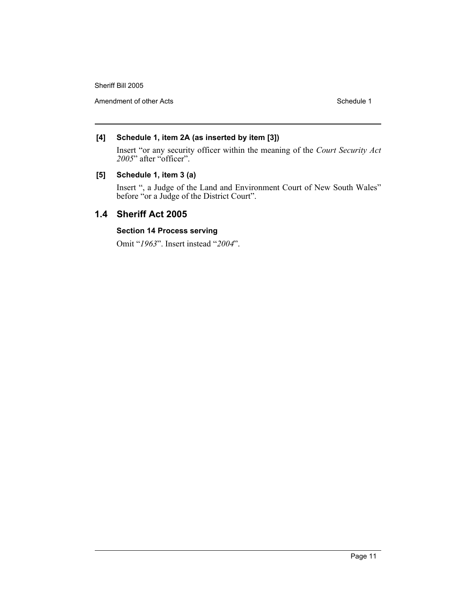Amendment of other Acts **Schedule 1** and the schedule 1 and the schedule 1

### **[4] Schedule 1, item 2A (as inserted by item [3])**

Insert "or any security officer within the meaning of the *Court Security Act 2005*" after "officer".

### **[5] Schedule 1, item 3 (a)**

Insert ", a Judge of the Land and Environment Court of New South Wales" before "or a Judge of the District Court".

## **1.4 Sheriff Act 2005**

### **Section 14 Process serving**

Omit "*1963*". Insert instead "*2004*".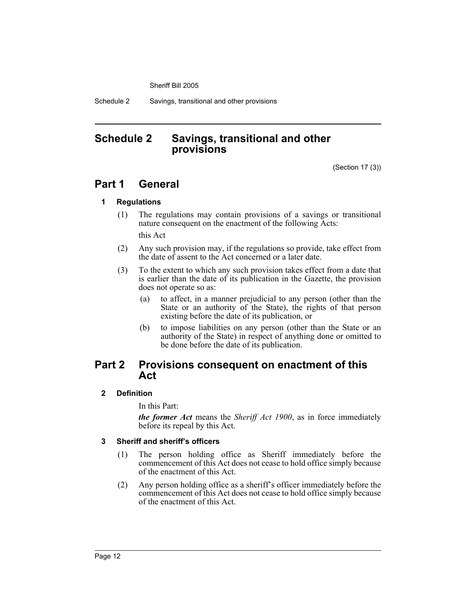Schedule 2 Savings, transitional and other provisions

# **Schedule 2 Savings, transitional and other provisions**

(Section 17 (3))

# **Part 1 General**

### **1 Regulations**

- (1) The regulations may contain provisions of a savings or transitional nature consequent on the enactment of the following Acts: this Act
- (2) Any such provision may, if the regulations so provide, take effect from the date of assent to the Act concerned or a later date.
- (3) To the extent to which any such provision takes effect from a date that is earlier than the date of its publication in the Gazette, the provision does not operate so as:
	- (a) to affect, in a manner prejudicial to any person (other than the State or an authority of the State), the rights of that person existing before the date of its publication, or
	- (b) to impose liabilities on any person (other than the State or an authority of the State) in respect of anything done or omitted to be done before the date of its publication.

## **Part 2 Provisions consequent on enactment of this Act**

### **2 Definition**

In this Part:

*the former Act* means the *Sheriff Act 1900*, as in force immediately before its repeal by this Act.

### **3 Sheriff and sheriff's officers**

- (1) The person holding office as Sheriff immediately before the commencement of this Act does not cease to hold office simply because of the enactment of this Act.
- (2) Any person holding office as a sheriff's officer immediately before the commencement of this Act does not cease to hold office simply because of the enactment of this Act.